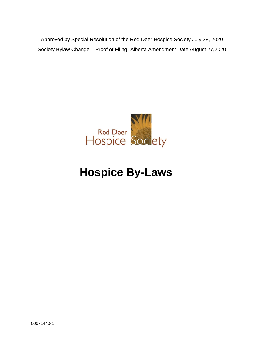Approved by Special Resolution of the Red Deer Hospice Society July 28, 2020 Society Bylaw Change – Proof of Filing -Alberta Amendment Date August 27,2020



# **Hospice By-Laws**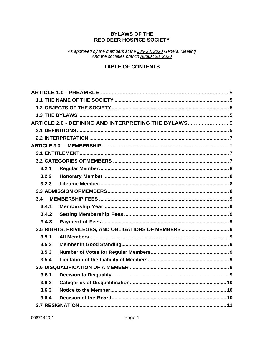## **BYLAWS OF THE RED DEER HOSPICE SOCIETY**

As approved by the members at the <u>July 28, 2020</u> General Meeting<br>And the societies branch August 28, 2020

## **TABLE OF CONTENTS**

|       | ARTICLE 2.0 - DEFINING AND INTERPRETING THE BYLAWS 5 |  |
|-------|------------------------------------------------------|--|
|       |                                                      |  |
|       |                                                      |  |
|       |                                                      |  |
|       |                                                      |  |
|       |                                                      |  |
| 3.2.1 |                                                      |  |
| 3.2.2 |                                                      |  |
| 3.2.3 |                                                      |  |
|       |                                                      |  |
| 3.4   |                                                      |  |
| 3.4.1 |                                                      |  |
| 3.4.2 |                                                      |  |
| 3.4.3 |                                                      |  |
|       |                                                      |  |
| 3.5.1 |                                                      |  |
| 3.5.2 |                                                      |  |
| 3.5.3 |                                                      |  |
| 3.5.4 |                                                      |  |
|       |                                                      |  |
| 3.6.1 |                                                      |  |
| 3.6.2 |                                                      |  |
| 3.6.3 |                                                      |  |
| 3.6.4 |                                                      |  |
|       |                                                      |  |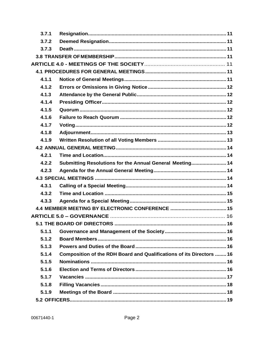| 3.7.1 |                                                                      |  |
|-------|----------------------------------------------------------------------|--|
| 3.7.2 |                                                                      |  |
| 3.7.3 |                                                                      |  |
|       |                                                                      |  |
|       |                                                                      |  |
|       |                                                                      |  |
| 4.1.1 |                                                                      |  |
| 4.1.2 |                                                                      |  |
| 4.1.3 |                                                                      |  |
| 4.1.4 |                                                                      |  |
| 4.1.5 |                                                                      |  |
| 4.1.6 |                                                                      |  |
| 4.1.7 |                                                                      |  |
| 4.1.8 |                                                                      |  |
| 4.1.9 |                                                                      |  |
|       |                                                                      |  |
| 4.2.1 |                                                                      |  |
| 4.2.2 | Submitting Resolutions for the Annual General Meeting 14             |  |
| 4.2.3 |                                                                      |  |
|       |                                                                      |  |
| 4.3.1 |                                                                      |  |
| 4.3.2 |                                                                      |  |
| 4.3.3 |                                                                      |  |
|       |                                                                      |  |
|       |                                                                      |  |
|       |                                                                      |  |
| 5.1.1 |                                                                      |  |
| 5.1.2 |                                                                      |  |
| 5.1.3 |                                                                      |  |
| 5.1.4 | Composition of the RDH Board and Qualifications of its Directors  16 |  |
| 5.1.5 |                                                                      |  |
| 5.1.6 |                                                                      |  |
| 5.1.7 |                                                                      |  |
| 5.1.8 |                                                                      |  |
|       |                                                                      |  |
| 5.1.9 |                                                                      |  |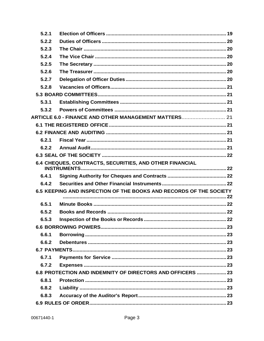| 5.2.1 |                                                                    |  |
|-------|--------------------------------------------------------------------|--|
| 5.2.2 |                                                                    |  |
| 5.2.3 |                                                                    |  |
| 5.2.4 |                                                                    |  |
| 5.2.5 |                                                                    |  |
| 5.2.6 |                                                                    |  |
| 5.2.7 |                                                                    |  |
| 5.2.8 |                                                                    |  |
|       |                                                                    |  |
| 5.3.1 |                                                                    |  |
| 5.3.2 |                                                                    |  |
|       | ARTICLE 6.0 - FINANCE AND OTHER MANAGEMENT MATTERS 21              |  |
|       |                                                                    |  |
|       |                                                                    |  |
| 6.2.1 |                                                                    |  |
| 6.2.2 |                                                                    |  |
|       |                                                                    |  |
|       | 6.4 CHEQUES, CONTRACTS, SECURITIES, AND OTHER FINANCIAL            |  |
| 6.4.1 |                                                                    |  |
| 6.4.2 |                                                                    |  |
|       | 6.5 KEEPING AND INSPECTION OF THE BOOKS AND RECORDS OF THE SOCIETY |  |
|       |                                                                    |  |
| 6.5.1 |                                                                    |  |
| 6.5.2 |                                                                    |  |
| 6.5.3 |                                                                    |  |
|       |                                                                    |  |
| 6.6.1 |                                                                    |  |
| 6.6.2 |                                                                    |  |
|       |                                                                    |  |
| 6.7.1 |                                                                    |  |
| 6.7.2 |                                                                    |  |
|       | 6.8 PROTECTION AND INDEMNITY OF DIRECTORS AND OFFICERS  23         |  |
| 6.8.1 |                                                                    |  |
| 6.8.2 |                                                                    |  |
| 6.8.3 |                                                                    |  |
|       |                                                                    |  |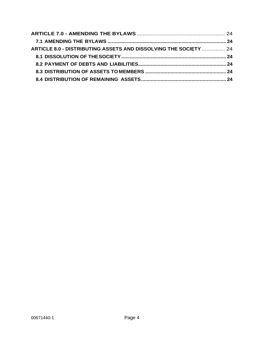| ARTICLE 8.0 - DISTRIBUTING ASSETS AND DISSOLVING THE SOCIETY  24 |  |
|------------------------------------------------------------------|--|
|                                                                  |  |
|                                                                  |  |
|                                                                  |  |
|                                                                  |  |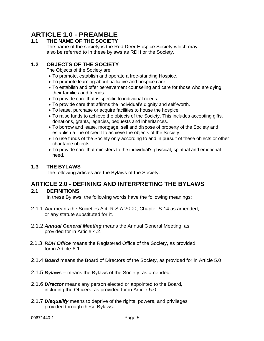# <span id="page-5-0"></span>**ARTICLE 1.0 - PREAMBLE**

## <span id="page-5-1"></span>**1.1 THE NAME OF THE SOCIETY**

The name of the society is the Red Deer Hospice Society which may also be referred to in these bylaws as RDH or the Society.

## <span id="page-5-2"></span>**1.2 OBJECTS OF THE SOCIETY**

The Objects of the Society are:

- To promote, establish and operate a free-standing Hospice.
- To promote learning about palliative and hospice care.
- To establish and offer bereavement counseling and care for those who are dying, their families and friends.
- To provide care that is specific to individual needs.
- To provide care that affirms the individual's dignity and self-worth.
- To lease, purchase or acquire facilities to house the hospice.
- To raise funds to achieve the objects of the Society. This includes accepting gifts, donations, grants, legacies, bequests and inheritances.
- To borrow and lease, mortgage, sell and dispose of property of the Society and establish a line of credit to achieve the objects of the Society.
- To use funds of the Society only according to and in pursuit of these objects or other charitable objects.
- To provide care that ministers to the individual's physical, spiritual and emotional need.

## <span id="page-5-3"></span>**1.3 THE BYLAWS**

The following articles are the Bylaws of the Society.

# <span id="page-5-4"></span>**ARTICLE 2.0 - DEFINING AND INTERPRETING THE BYLAWS**

### <span id="page-5-5"></span>**2.1 DEFINITIONS**

In these Bylaws, the following words have the following meanings:

- 2.1.1 *Act* means the Societies Act, R S.A.2000, Chapter S-14 as amended, or any statute substituted for it.
- 2.1.2 *Annual General Meeting* means the Annual General Meeting, as provided for in Article 4.2.
- 2.1.3 *RDH Office* means the Registered Office of the Society, as provided for in Article 6.1.
- 2.1.4 *Board* means the Board of Directors of the Society, as provided for in Article 5.0
- 2.1.5 *Bylaws –* means the Bylaws of the Society, as amended.
- 2.1.6 *Director* means any person elected or appointed to the Board, including the Officers, as provided for in Article 5.0.
- 2.1.7 *Disqualify* means to deprive of the rights, powers, and privileges provided through these Bylaws.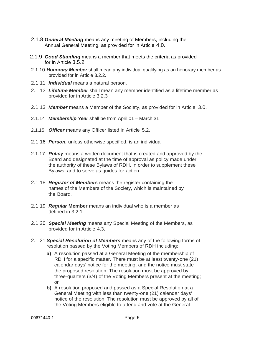- 2.1.8 *General Meeting* means any meeting of Members, including the Annual General Meeting, as provided for in Article 4.0.
- 2.1.9 *Good Standing* means a member that meets the criteria as provided for in Article 3.5.2
- 2.1.10 *Honorary Member* shall mean any individual qualifying as an honorary member as provided for in Article 3.2.2.
- 2.1.11 *Individual* means a natural person.
- 2.1.12 *Lifetime Member* shall mean any member identified as a lifetime member as provided for in Article 3.2.3
- 2.1.13 *Member* means a Member of the Society, as provided for in Article 3.0.
- 2.1.14 *Membership Year* shall be from April 01 March 31
- 2.1.15 *Officer* means any Officer listed in Article 5.2.
- 2.1.16 *Person,* unless otherwise specified, is an individual
- 2.1.17 *Policy* means a written document that is created and approved by the Board and designated at the time of approval as policy made under the authority of these Bylaws of RDH, in order to supplement these Bylaws, and to serve as guides for action.
- 2.1.18 *Register of Members* means the register containing the names of the Members of the Society, which is maintained by the Board.
- 2.1.19 *Regular* **Member** means an individual who is a member as defined in 3.2.1
- 2.1.20 *Special Meeting* means any Special Meeting of the Members, as provided for in Article 4.3.
- 2.1.21 *Special Resolution of Members* means any of the following forms of resolution passed by the Voting Members of RDH including:
	- **a)** A resolution passed at a General Meeting of the membership of RDH for a specific matter. There must be at least twenty-one (21) calendar days' notice for the meeting, and the notice must state the proposed resolution. The resolution must be approved by three-quarters (3/4) of the Voting Members present at the meeting; or
	- **b)** A resolution proposed and passed as a Special Resolution at a General Meeting with less than twenty-one (21) calendar days' notice of the resolution. The resolution must be approved by all of the Voting Members eligible to attend and vote at the General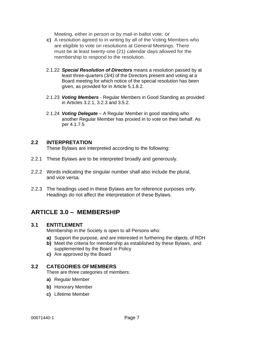Meeting, either in person or by mail-in ballot vote; or

- **c)** A resolution agreed to in writing by all of the Voting Members who are eligible to vote on resolutions at General Meetings. There must be at least twenty-one (21) calendar days allowed for the membership to respond to the resolution.
- 2.1.22 *Special Resolution of Directors* means a resolution passed by at least three-quarters (3/4) of the Directors present and voting at a Board meeting for which notice of the special resolution has been given, as provided for in Article 5.1.8.2.
- 2.1.23 *Voting Members*  Regular Members in Good Standing as provided in Articles 3.2.1, 3.2.3 and 3.5.2.
- 2.1.24 *Voting Delegate*  A Regular Member in good standing who another Regular Member has proxied in to vote on their behalf. As per 4.1.7.5

### <span id="page-7-0"></span>**2.2 INTERPRETATION**

These Bylaws are interpreted according to the following:

- 2.2.1 These Bylaws are to be interpreted broadly and generously.
- 2.2.2 Words indicating the singular number shall also include the plural, and vice versa.
- 2.2.3 The headings used in these Bylaws are for reference purposes only. Headings do not affect the interpretation of these Bylaws.

# <span id="page-7-1"></span>**ARTICLE 3.0 – MEMBERSHIP**

### <span id="page-7-2"></span>**3.1 ENTITLEMENT**

Membership in the Society is open to all Persons who:

- **a)** Support the purpose, and are interested in furthering the objects, of RDH
- **b)** Meet the criteria for membership as established by these Bylaws, and supplemented by the Board in Policy
- **c)** Are approved by the Board

#### <span id="page-7-3"></span>**3.2 CATEGORIES OFMEMBERS**

There are three categories of members:

- **a)** Regular Member
- **b)** Honorary Member
- **c)** Lifetime Member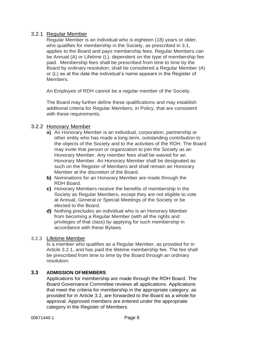## <span id="page-8-0"></span>3.2.1 Regular Member

Regular Member is an individual who is eighteen (18) years or older, who qualifies for membership in the Society, as prescribed in 3.1, applies to the Board and pays membership fees. Regular Members can be Annual (A) or Lifetime (L), dependent on the type of membership fee paid. Membership fees shall be prescribed from time to time by the Board by ordinary resolution; shall be considered a Regular Member (A) or (L) as at the date the individual's name appears in the Register of Members.

An Employee of RDH cannot be a regular member of the Society.

The Board may further define these qualifications and may establish additional criteria for Regular Members, in Policy, that are consistent with these requirements.

## <span id="page-8-1"></span>3.2.2 Honorary Member

- **a)** An Honorary Member is an individual, corporation, partnership or other entity who has made a long-term, outstanding contribution to the objects of the Society and to the activities of the RDH. The Board may invite that person or organization to join the Society as an Honorary Member. Any member fees shall be waived for an Honorary Member. An Honorary Member shall be designated as such on the Register of Members and shall remain an Honorary Member at the discretion of the Board.
- **b)** Nominations for an Honorary Member are made through the RDH Board.
- **c)** Honorary Members receive the benefits of membership in the Society as Regular Members, except they are not eligible to vote at Annual, General or Special Meetings of the Society or be elected to the Board.
- **d)** Nothing precludes an individual who is an Honorary Member from becoming a Regular Member (with all the rights and privileges of that class) by applying for such membership in accordance with these Bylaws.

### <span id="page-8-2"></span>3.2.3 Lifetime Member

Is a member who qualifies as a Regular Member, as provided for in Article 3.2.1, and has paid the lifetime membership fee. The fee shall be prescribed from time to time by the Board through an ordinary resolution.

## <span id="page-8-3"></span>**3.3 ADMISSION OFMEMBERS**

Applications for membership are made through the RDH Board. The Board Governance Committee reviews all applications. Applications that meet the criteria for membership in the appropriate category, as provided for in Article 3.2, are forwarded to the Board as a whole for approval. Approved members are entered under the appropriate category in the Register of Members.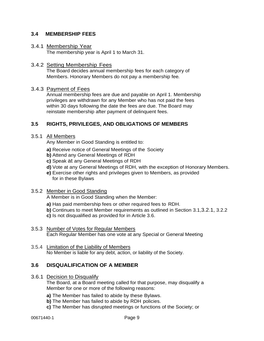### <span id="page-9-0"></span>**3.4 MEMBERSHIP FEES**

#### <span id="page-9-1"></span>3.4.1 Membership Year

The membership year is April 1 to March 31.

#### <span id="page-9-2"></span>3.4.2 Setting Membership Fees

The Board decides annual membership fees for each category of Members. Honorary Members do not pay a membership fee*.*

#### <span id="page-9-3"></span>3.4.3 Payment of Fees

Annual membership fees are due and payable on April 1. Membership privileges are withdrawn for any Member who has not paid the fees within 30 days following the date the fees are due. The Board may reinstate membership after payment of delinquent fees.

## <span id="page-9-4"></span>**3.5 RIGHTS, PRIVILEGES, AND OBLIGATIONS OF MEMBERS**

#### <span id="page-9-5"></span>3.5.1 All Members

Any Member in Good Standing is entitled to:

- **a)** Receive notice of General Meetings of the Society
- **b)** Attend any General Meetings of RDH
- **c)** Speak at any General Meetings of RDH
- **d)** Vote at any General Meetings of RDH, with the exception of Honorary Members.
- **e)** Exercise other rights and privileges given to Members, as provided for in these Bylaws

### <span id="page-9-6"></span>3.5.2 Member in Good Standing

A Member is in Good Standing when the Member:

- **a)** Has paid membership fees or other required fees to RDH.
- **b)** Continues to meet Member requirements as outlined in Section 3.1,3.2.1, 3.2.2
- **c)** Is not disqualified as provided for in Article 3.6.
- <span id="page-9-7"></span>3.5.3 Number of Votes for Regular Members Each Regular Member has one vote at any Special or General Meeting
- <span id="page-9-8"></span>3.5.4 Limitation of the Liability of Members No Member is liable for any debt, action, or liability of the Society.

### <span id="page-9-9"></span>**3.6 DISQUALIFICATION OF A MEMBER**

<span id="page-9-10"></span>3.6.1 Decision to Disqualify

The Board, at a Board meeting called for that purpose, may disqualify a Member for one or more of the following reasons:

- **a)** The Member has failed to abide by these Bylaws.
- **b)** The Member has failed to abide by RDH policies.
- **c)** The Member has disrupted meetings or functions of the Society; or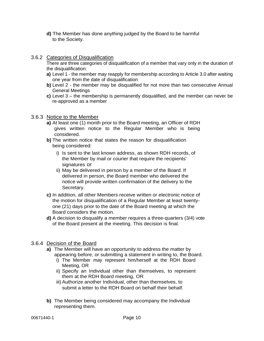- **d)** The Member has done anything judged by the Board to be harmful to the Society.
- <span id="page-10-0"></span>3.6.2 Categories of Disqualification

There are three categories of disqualification of a member that vary only in the duration of the disqualification:

- **a)** Level 1 the member may reapply for membership according to Article 3.0 after waiting one year from the date of disqualification
- **b)** Level 2 the member may be disqualified for not more than two consecutive Annual General Meetings
- **c)** Level 3 the membership is permanently disqualified, and the member can never be re-approved as a member

## <span id="page-10-1"></span>3.6.3 Notice to the Member

- **a)** At least one (1) month prior to the Board meeting, an Officer of RDH gives written notice to the Regular Member who is being considered.
- **b)** The written notice that states the reason for disqualification being considered:
	- i) Is sent to the last known address, as shown RDH records, of the Member by mail or courier that require the recipients' signatures or
	- ii) May be delivered in person by a member of the Board. If delivered in person, the Board member who delivered the notice will provide written confirmation of the delivery to the Secretary.
- **c)** In addition, all other Members receive written or electronic notice of the motion for disqualification of a Regular Member at least twentyone (21) days prior to the date of the Board meeting at which the Board considers the motion.
- **d)** A decision to disqualify a member requires a three-quarters (3/4) vote of the Board present at the meeting. This decision is final.

## <span id="page-10-2"></span>3.6.4 Decision of the Board

- **a)** The Member will have an opportunity to address the matter by appearing before, or submitting a statement in writing to, the Board.
	- i) The Member may represent him/herself at the RDH Board Meeting, OR
	- ii) Specify an Individual other than themselves, to represent them at the RDH Board meeting, OR
	- iii) Authorize another Individual, other than themselves, to submit a letter to the RDH Board on behalf their behalf.
- **b)** The Member being considered may accompany the Individual representing them.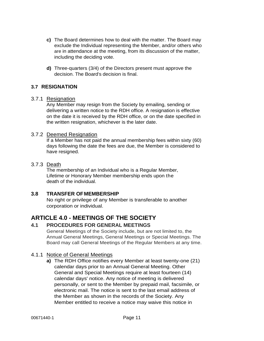- **c)** The Board determines how to deal with the matter. The Board may exclude the Individual representing the Member, and/or others who are in attendance at the meeting, from its discussion of the matter, including the deciding vote.
- **d)** Three-quarters (3/4) of the Directors present must approve the decision. The Board's decision is final.

## <span id="page-11-0"></span>**3.7 RESIGNATION**

#### <span id="page-11-1"></span>3.7.1 Resignation

Any Member may resign from the Society by emailing, sending or delivering a written notice to the RDH office. A resignation is effective on the date it is received by the RDH office, or on the date specified in the written resignation, whichever is the later date.

#### <span id="page-11-2"></span>3.7.2 Deemed Resignation

If a Member has not paid the annual membership fees within sixty (60) days following the date the fees are due, the Member is considered to have resigned.

#### <span id="page-11-3"></span>3.7.3 Death

The membership of an Individual who is a Regular Member, Lifetime or Honorary Member membership ends upon the death of the individual.

### <span id="page-11-4"></span>**3.8 TRANSFER OFMEMBERSHIP**

No right or privilege of any Member is transferable to another corporation or individual.

# <span id="page-11-5"></span>**ARTICLE 4.0 - MEETINGS OF THE SOCIETY**

## <span id="page-11-6"></span>**4.1 PROCEDURES FOR GENERAL MEETINGS**

General Meetings of the Society include, but are not limited to, the Annual General Meetings, General Meetings or Special Meetings. The Board may call General Meetings of the Regular Members at any time.

### <span id="page-11-7"></span>4.1.1 Notice of General Meetings

**a)** The RDH Office notifies every Member at least twenty-one (21) calendar days prior to an Annual General Meeting. Other General and Special Meetings require at least fourteen (14) calendar days' notice. Any notice of meeting is delivered personally, or sent to the Member by prepaid mail, facsimile, or electronic mail. The notice is sent to the last email address of the Member as shown in the records of the Society. Any Member entitled to receive a notice may waive this notice in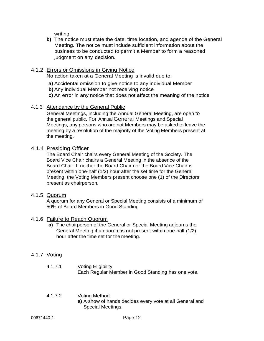writing.

**b)** The notice must state the date, time,location, and agenda of the General Meeting. The notice must include sufficient information about the business to be conducted to permit a Member to form a reasoned judgment on any decision.

### <span id="page-12-0"></span>4.1.2 Errors or Omissions in Giving Notice

No action taken at a General Meeting is invalid due to:

- **a)** Accidental omission to give notice to any individual Member
- **b)** Any individual Member not receiving notice
- **c)** An error in any notice that does not affect the meaning of the notice

#### <span id="page-12-1"></span>4.1.3 Attendance by the General Public

General Meetings, including the Annual General Meeting, are open to the general public. For Annual General Meetings and Special Meetings, any persons who are not Members may be asked to leave the meeting by a resolution of the majority of the Voting Members present at the meeting.

### <span id="page-12-2"></span>4.1.4 Presiding Officer

The Board Chair chairs every General Meeting of the Society. The Board Vice Chair chairs a General Meeting in the absence of the Board Chair. If neither the Board Chair nor the Board Vice Chair is present within one-half (1/2) hour after the set time for the General Meeting, the Voting Members present choose one (1) of the Directors present as chairperson.

## <span id="page-12-3"></span>4.1.5 Quorum

A quorum for any General or Special Meeting consists of a minimum of 50% of Board Members in Good Standing

#### <span id="page-12-4"></span>4.1.6 Failure to Reach Quorum

**a)** The chairperson of the General or Special Meeting adjourns the General Meeting if a quorum is not present within one-half (1/2) hour after the time set for the meeting.

### <span id="page-12-5"></span>4.1.7 Voting

- 4.1.7.1 Voting Eligibility Each Regular Member in Good Standing has one vote.
- 4.1.7.2 Voting Method **a)** A show of hands decides every vote at all General and Special Meetings.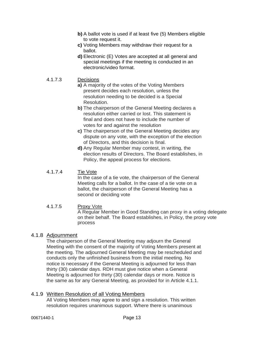- **b)** A ballot vote is used if at least five (5) Members eligible to vote request it.
- **c)** Voting Members may withdraw their request for a ballot.
- **d)** Electronic (E) Votes are accepted at all general and special meetings if the meeting is conducted in an electronic/video format.

#### 4.1.7.3 Decisions

- **a)** A majority of the votes of the Voting Members present decides each resolution, unless the resolution needing to be decided is a Special Resolution.
- **b)** The chairperson of the General Meeting declares a resolution either carried or lost. This statement is final and does not have to include the number of votes for and against the resolution
- **c)** The chairperson of the General Meeting decides any dispute on any vote, with the exception of the election of Directors, and this decision is final.
- **d)** Any Regular Member may contest, in writing, the election results of Directors. The Board establishes, in Policy, the appeal process for elections.

### 4.1.7.4 Tie Vote

In the case of a tie vote, the chairperson of the General Meeting calls for a ballot. In the case of a tie vote on a ballot, the chairperson of the General Meeting has a second or deciding vote

4.1.7.5 Proxy Vote A Regular Member in Good Standing can proxy in a voting delegate on their behalf. The Board establishes, in Policy, the proxy vote process

### <span id="page-13-0"></span>4.1.8 Adjournment

The chairperson of the General Meeting may adjourn the General Meeting with the consent of the majority of Voting Members present at the meeting. The adjourned General Meeting may be rescheduled and conducts only the unfinished business from the initial meeting. No notice is necessary if the General Meeting is adjourned for less than thirty (30) calendar days. RDH must give notice when a General Meeting is adjourned for thirty (30) calendar days or more. Notice is the same as for any General Meeting, as provided for in Article 4.1.1.

### <span id="page-13-1"></span>4.1.9 Written Resolution of all Voting Members

All Voting Members may agree to and sign a resolution. This written resolution requires unanimous support. Where there is unanimous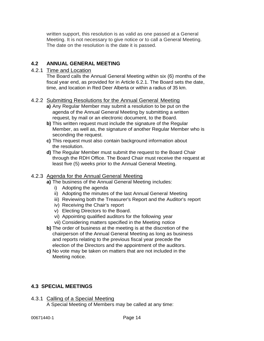written support, this resolution is as valid as one passed at a General Meeting. It is not necessary to give notice or to call a General Meeting. The date on the resolution is the date it is passed.

## <span id="page-14-0"></span>**4.2 ANNUAL GENERAL MEETING**

## <span id="page-14-1"></span>4.2.1 Time and Location

The Board calls the Annual General Meeting within six (6) months of the fiscal year end, as provided for in Article 6.2.1. The Board sets the date, time, and location in Red Deer Alberta or within a radius of 35 km.

### <span id="page-14-2"></span>4.2.2 Submitting Resolutions for the Annual General Meeting

- **a)** Any Regular Member may submit a resolution to be put on the agenda of the Annual General Meeting by submitting a written request, by mail or an electronic document, to the Board.
- **b)** This written request must include the signature of the Regular Member, as well as, the signature of another Regular Member who is seconding the request.
- **c)** This request must also contain background information about the resolution.
- **d)** The Regular Member must submit the request to the Board Chair through the RDH Office. The Board Chair must receive the request at least five (5) weeks prior to the Annual General Meeting.

## <span id="page-14-3"></span>4.2.3 Agenda for the Annual General Meeting

- **a)** The business of the Annual General Meeting includes:
	- i) Adopting the agenda
	- ii) Adopting the minutes of the last Annual General Meeting
	- iii) Reviewing both the Treasurer's Report and the Auditor's report
	- iv) Receiving the Chair's report
	- v) Electing Directors to the Board.
	- vi) Appointing qualified auditors for the following year
	- vii) Considering matters specified in the Meeting notice
- **b)** The order of business at the meeting is at the discretion of the chairperson of the Annual General, Meeting as long as business and reports relating to the previous fiscal year precede the election of the Directors and the appointment of the auditors.
- **c)** No vote may be taken on matters that are not included in the Meeting notice.

## <span id="page-14-4"></span>**4.3 SPECIAL MEETINGS**

<span id="page-14-5"></span>4.3.1 Calling of a Special Meeting A Special Meeting of Members may be called at any time: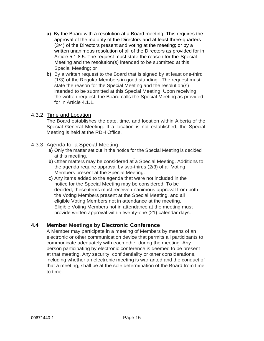- **a)** By the Board with a resolution at a Board meeting. This requires the approval of the majority of the Directors and at least three-quarters (3/4) of the Directors present and voting at the meeting; or by a written unanimous resolution of all of the Directors as provided for in Article 5.1.8.5. The request must state the reason for the Special Meeting and the resolution(s) intended to be submitted at this Special Meeting; or
- **b)** By a written request to the Board that is signed by at least one-third (1/3) of the Regular Members in good standing. The request must state the reason for the Special Meeting and the resolution(s) intended to be submitted at this Special Meeting. Upon receiving the written request, the Board calls the Special Meeting as provided for in Article 4.1.1.

### <span id="page-15-0"></span>4.3.2 Time and Location

The Board establishes the date, time, and location within Alberta of the Special General Meeting. If a location is not established, the Special Meeting is held at the RDH Office.

### <span id="page-15-1"></span>4.3.3 Agenda for a Special Meeting

- **a)** Only the matter set out in the notice for the Special Meeting is decided at this meeting.
- **b)** Other matters may be considered at a Special Meeting. Additions to the agenda require approval by two-thirds (2/3) of all Voting Members present at the Special Meeting.
- **c)** Any items added to the agenda that were not included in the notice for the Special Meeting may be considered. To be decided, these items must receive unanimous approval from both the Voting Members present at the Special Meeting, and all eligible Voting Members not in attendance at the meeting. Eligible Voting Members not in attendance at the meeting must provide written approval within twenty-one (21) calendar days.

## <span id="page-15-2"></span>**4.4 Member Meetings by Electronic Conference**

A Member may participate in a meeting of Members by means of an electronic or other communication device that permits all participants to communicate adequately with each other during the meeting. Any person participating by electronic conference is deemed to be present at that meeting. Any security, confidentiality or other considerations, including whether an electronic meeting is warranted and the conduct of that a meeting, shall be at the sole determination of the Board from time to time.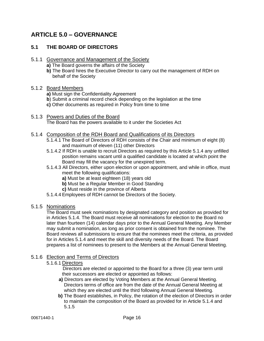# <span id="page-16-0"></span>**ARTICLE 5.0 – GOVERNANCE**

## <span id="page-16-1"></span>**5.1 THE BOARD OF DIRECTORS**

- <span id="page-16-2"></span>5.1.1 Governance and Management of the Society
	- **a)** The Board governs the affairs of the Society
	- **b)** The Board hires the Executive Director to carry out the management of RDH on behalf of the Society

#### <span id="page-16-3"></span>5.1.2 Board Members

- **a)** Must sign the Confidentiality Agreement
- **b**) Submit a criminal record check depending on the legislation at the time
- **c)** Other documents as required in Policy from time to time

#### <span id="page-16-4"></span>5.1.3 Powers and Duties of the Board The Board has the powers available to it under the Societies Act

- <span id="page-16-5"></span>5.1.4 Composition of the RDH Board and Qualifications of its Directors
	- 5.1.4.1 The Board of Directors of RDH consists of the Chair and minimum of eight (8) and maximum of eleven (11) other Directors
	- 5.1.4.2 If RDH is unable to recruit Directors as required by this Article 5.1.4 any unfilled position remains vacant until a qualified candidate is located at which point the Board may fill the vacancy for the unexpired term.
	- 5.1.4.3 All Directors, either upon election or upon appointment, and while in office, must meet the following qualifications:
		- **a)** Must be at least eighteen (18) years old
		- **b)** Must be a Regular Member in Good Standing
		- **c)** Must reside in the province of Alberta
	- 5.1.4.4 Employees of RDH cannot be Directors of the Society.

#### <span id="page-16-6"></span>5.1.5 Nominations

The Board must seek nominations by designated category and position as provided for in Articles 5.1.4. The Board must receive all nominations for election to the Board no later than fourteen (14) calendar days prior to the Annual General Meeting. Any Member may submit a nomination, as long as prior consent is obtained from the nominee. The Board reviews all submissions to ensure that the nominees meet the criteria, as provided for in Articles 5.1.4 and meet the skill and diversity needs of the Board. The Board prepares a list of nominees to present to the Members at the Annual General Meeting.

### <span id="page-16-7"></span>5.1.6 Election and Terms of Directors

#### 5.1.6.1 Directors

Directors are elected or appointed to the Board for a three (3) year term until their successors are elected or appointed as follows:

- **a)** Directors are elected by Voting Members at the Annual General Meeting. Directors terms of office are from the date of the Annual General Meeting at which they are elected until the third following Annual General Meeting.
- **b)** The Board establishes, in Policy, the rotation of the election of Directors in order to maintain the composition of the Board as provided for in Article 5.1.4 and 5.1.5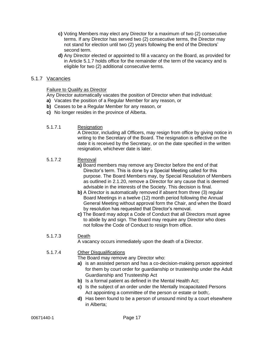- **c)** Voting Members may elect any Director for a maximum of two (2) consecutive terms. If any Director has served two (2) consecutive terms, the Director may not stand for election until two (2) years following the end of the Directors' second term.
- **d)** Any Director elected or appointed to fill a vacancy on the Board, as provided for in Article 5.1.7 holds office for the remainder of the term of the vacancy and is eligible for two (2) additional consecutive terms.

#### <span id="page-17-0"></span>5.1.7 Vacancies

#### Failure to Qualify as Director

Any Director automatically vacates the position of Director when that individual:

- **a)** Vacates the position of a Regular Member for any reason, or
- **b)** Ceases to be a Regular Member for any reason, or
- **c)** No longer resides in the province of Alberta.
- 5.1.7.1 Resignation

A Director, including all Officers, may resign from office by giving notice in writing to the Secretary of the Board. The resignation is effective on the date it is received by the Secretary, or on the date specified in the written resignation, whichever date is later.

#### 5.1.7.2 Removal

- **a)** Board members may remove any Director before the end of that Director's term. This is done by a Special Meeting called for this purpose. The Board Members may, by Special Resolution of Members as outlined in 2.1.20, remove a Director for any cause that is deemed advisable in the interests of the Society. This decision is final.
- **b)** A Director is automatically removed if absent from three (3) regular Board Meetings in a twelve (12) month period following the Annual General Meeting without approval form the Chair, and when the Board by resolution has requested that Director's removal.
- **c)** The Board may adopt a Code of Conduct that all Directors must agree to abide by and sign. The Board may require any Director who does not follow the Code of Conduct to resign from office.

## 5.1.7.3 Death

A vacancy occurs immediately upon the death of a Director.

#### 5.1.7.4 Other Disqualifications

The Board may remove any Director who:

- **a)** is an assisted person and has a co-decision-making person appointed for them by court order for guardianship or trusteeship under the Adult Guardianship and Trusteeship Act
- **b)** Is a formal patient as defined in the Mental Health Act;
- **c)** Is the subject of an order under the Mentally Incapacitated Persons Act appointing a committee of the person or estate or both;
- **d)** Has been found to be a person of unsound mind by a court elsewhere in Alberta;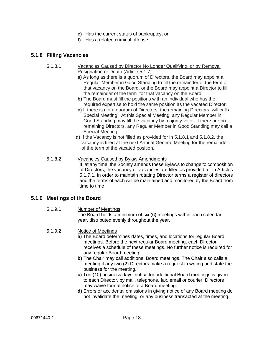- **e)** Has the current status of bankruptcy; or
- **f)** Has a related criminal offense.

#### <span id="page-18-0"></span>**5.1.8 Filling Vacancies**

- 5.1.8.1 Vacancies Caused by Director No Longer Qualifying, or by Removal Resignation or Death (Article 5.1.7)
	- **a)** As long as there is a quorum of Directors, the Board may appoint a Regular Member in Good Standing to fill the remainder of the term of that vacancy on the Board, or the Board may appoint a Director to fill the remainder of the term for that vacancy on the Board.
	- **b)** The Board must fill the positions with an individual who has the required expertise to hold the same position as the vacated Director.
	- **c)** If there is not a quorum of Directors, the remaining Directors, will call a Special Meeting. At this Special Meeting, any Regular Member in Good Standing may fill the vacancy by majority vote. If there are no remaining Directors, any Regular Member in Good Standing may call a Special Meeting.
	- **d)** If the Vacancy is not filled as provided for in 5.1.8.1 and 5.1.8.2, the vacancy is filled at the next Annual General Meeting for the remainder of the term of the vacated position.
- 5.1.8.2 Vacancies Caused by Bylaw Amendments If, at any time, the Society amends these Bylaws to change to composition of Directors, the vacancy or vacancies are filled as provided for in Articles 5.1.7.1. In order to maintain rotating Director terms a register of directors and the terms of each will be maintained and monitored by the Board from time to time

#### <span id="page-18-1"></span>**5.1.9 Meetings of the Board**

- 5.1.9.1 Number of Meetings The Board holds a minimum of six (6) meetings within each calendar year, distributed evenly throughout the year.
- 5.1.9.2 Notice of Meetings
	- **a)** The Board determines dates, times, and locations for regular Board meetings. Before the next regular Board meeting, each Director receives a schedule of these meetings. No further notice is required for any regular Board meeting.
	- **b)** The Chair may call additional Board meetings. The Chair also calls a meeting if any two (2) Directors make a request in writing and state the business for the meeting.
	- **c)** Ten (10) business days' notice for additional Board meetings is given to each Director, by mail, telephone, fax, email or courier. Directors may waive formal notice of a Board meeting.
	- **d)** Errors or accidental omissions in giving notice of any Board meeting do not invalidate the meeting, or any business transacted at the meeting.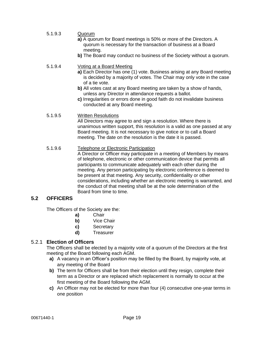- 5.1.9.3 Quorum **a)** A quorum for Board meetings is 50% or more of the Directors. A
	- quorum is necessary for the transaction of business at a Board meeting.
	- **b)** The Board may conduct no business of the Society without a quorum.

#### 5.1.9.4 Voting at a Board Meeting

- **a)** Each Director has one (1) vote. Business arising at any Board meeting is decided by a majority of votes. The Chair may only vote in the case of a tie vote.
- **b)** All votes cast at any Board meeting are taken by a show of hands, unless any Director in attendance requests a ballot.
- **c)** Irregularities or errors done in good faith do not invalidate business conducted at any Board meeting.

#### 5.1.9.5 Written Resolutions

All Directors may agree to and sign a resolution. Where there is unanimous written support, this resolution is a valid as one passed at any Board meeting. It is not necessary to give notice or to call a Board meeting. The date on the resolution is the date it is passed.

### 5.1.9.6 Telephone or Electronic Participation

A Director or Officer may participate in a meeting of Members by means of telephone, electronic or other communication device that permits all participants to communicate adequately with each other during the meeting. Any person participating by electronic conference is deemed to be present at that meeting. Any security, confidentiality or other considerations, including whether an electronic meeting is warranted, and the conduct of that meeting shall be at the sole determination of the Board from time to time.

## <span id="page-19-0"></span>**5.2 OFFICERS**

The Officers of the Society are the:

- **a)** Chair
- **b)** Vice Chair
- **c)** Secretary
- **d)** Treasurer

### <span id="page-19-1"></span>5.2.1 **Election of Officers**

The Officers shall be elected by a majority vote of a quorum of the Directors at the first meeting of the Board following each AGM.

- **a)** A vacancy in an Officer's position may be filled by the Board, by majority vote, at any meeting of the Board
- **b)** The term for Officers shall be from their election until they resign, complete their term as a Director or are replaced which replacement is normally to occur at the first meeting of the Board following the AGM.
- **c)** An Officer may not be elected for more than four (4) consecutive one-year terms in one position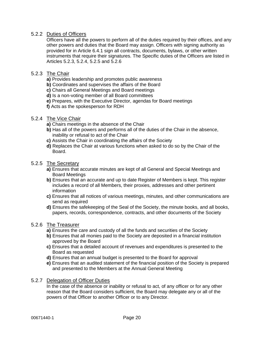## <span id="page-20-0"></span>5.2.2 Duties of Officers

Officers have all the powers to perform all of the duties required by their offices, and any other powers and duties that the Board may assign. Officers with signing authority as provided for in Article 6.4.1 sign all contracts, documents, bylaws, or other written instruments that require their signatures. The Specific duties of the Officers are listed in Articles 5.2.3, 5.2.4, 5.2.5 and 5.2.6

#### <span id="page-20-1"></span>5.2.3 The Chair

- **a)** Provides leadership and promotes public awareness
- **b)** Coordinates and supervises the affairs of the Board
- **c)** Chairs all General Meetings and Board meetings
- **d)** Is a non-voting member of all Board committees
- **e)** Prepares, with the Executive Director, agendas for Board meetings
- **f)** Acts as the spokesperson for RDH

#### <span id="page-20-2"></span>5.2.4 The Vice Chair

- **a)** Chairs meetings in the absence of the Chair
- **b)** Has all of the powers and performs all of the duties of the Chair in the absence, inability or refusal to act of the Chair
- **c)** Assists the Chair in coordinating the affairs of the Society
- **d)** Replaces the Chair at various functions when asked to do so by the Chair of the Board.

#### <span id="page-20-3"></span>5.2.5 The Secretary

- **a)** Ensures that accurate minutes are kept of all General and Special Meetings and Board Meetings
- **b)** Ensures that an accurate and up to date Register of Members is kept. This register includes a record of all Members, their proxies, addresses and other pertinent information
- **c)** Ensures that all notices of various meetings, minutes, and other communications are send as required
- **d)** Ensures the safekeeping of the Seal of the Society, the minute books, and all books, papers, records, correspondence, contracts, and other documents of the Society

#### <span id="page-20-4"></span>5.2.6 The Treasurer

- **a)** Ensures the care and custody of all the funds and securities of the Society
- **b)** Ensures that all monies paid to the Society are deposited in a financial institution approved by the Board
- **c)** Ensures that a detailed account of revenues and expenditures is presented to the Board as requested
- **d)** Ensures that an annual budget is presented to the Board for approval
- **e)** Ensures that an audited statement of the financial position of the Society is prepared and presented to the Members at the Annual General Meeting

#### <span id="page-20-5"></span>5.2.7 Delegation of Officer Duties

In the case of the absence or inability or refusal to act, of any officer or for any other reason that the Board considers sufficient, the Board may delegate any or all of the powers of that Officer to another Officer or to any Director.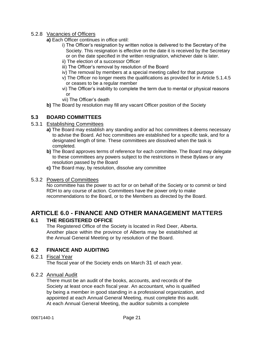### <span id="page-21-0"></span>5.2.8 Vacancies of Officers

- **a)** Each Officer continues in office until:
	- i) The Officer's resignation by written notice is delivered to the Secretary of the Society. This resignation is effective on the date it is received by the Secretary or on the date specified in the written resignation, whichever date is later.
	- ii) The election of a successor Officer
	- iii) The Officer's removal by resolution of the Board
	- iv) The removal by members at a special meeting called for that purpose
	- v) The Officer no longer meets the qualifications as provided for in Article 5.1.4.5 or ceases to be a regular member
	- vi) The Officer's inability to complete the term due to mental or physical reasons or
	- vii) The Officer's death
- **b)** The Board by resolution may fill any vacant Officer position of the Society

## <span id="page-21-1"></span>**5.3 BOARD COMMITTEES**

#### <span id="page-21-2"></span>5.3.1 Establishing Committees

- **a)** The Board may establish any standing and/or ad hoc committees it deems necessary to advise the Board. Ad hoc committees are established for a specific task, and for a designated length of time. These committees are dissolved when the task is completed.
- **b)** The Board approves terms of reference for each committee. The Board may delegate to these committees any powers subject to the restrictions in these Bylaws or any resolution passed by the Board
- **c)** The Board may, by resolution, dissolve any committee

#### <span id="page-21-3"></span>5.3.2 Powers of Committees

No committee has the power to act for or on behalf of the Society or to commit or bind RDH to any course of action. Committees have the power only to make recommendations to the Board, or to the Members as directed by the Board.

# <span id="page-21-4"></span>**ARTICLE 6.0 - FINANCE AND OTHER MANAGEMENT MATTERS**

### <span id="page-21-5"></span>**6.1 THE REGISTERED OFFICE**

The Registered Office of the Society is located in Red Deer, Alberta. Another place within the province of Alberta may be established at the Annual General Meeting or by resolution of the Board.

## <span id="page-21-6"></span>**6.2 FINANCE AND AUDITING**

### <span id="page-21-7"></span>6.2.1 Fiscal Year

The fiscal year of the Society ends on March 31 of each year.

### <span id="page-21-8"></span>6.2.2 Annual Audit

There must be an audit of the books, accounts, and records of the Society at least once each fiscal year. An accountant, who is qualified by being a member in good standing in a professional organization, and appointed at each Annual General Meeting, must complete this audit. At each Annual General Meeting, the auditor submits a complete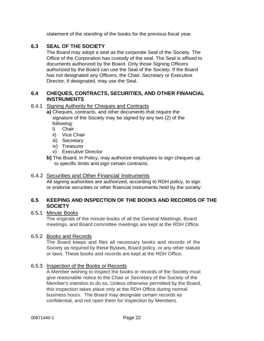statement of the standing of the books for the previous fiscal year.

## <span id="page-22-0"></span>**6.3 SEAL OF THE SOCIETY**

The Board may adopt a seal as the corporate Seal of the Society. The Office of the Corporation has custody of the seal. The Seal is affixed to documents authorized by the Board. Only those Signing Officers authorized by the Board can use the Seal of the Society. If the Board has not designated any Officers, the Chair, Secretary or Executive Director, if designated, may use the Seal.

## <span id="page-22-1"></span>**6.4 CHEQUES, CONTRACTS, SECURITIES, AND OTHER FINANCIAL INSTRUMENTS**

### <span id="page-22-2"></span>6.4.1 Signing Authority for Cheques and Contracts

- **a)** Cheques, contracts, and other documents that require the signature of the Society may be signed by any two (2) of the following:
	- i) Chair
	- ii) Vice Chair
	- iii) Secretary
	- iv) Treasurer
	- v) Executive Director
- **b)** The Board, in Policy, may authorize employees to sign cheques up to specific limits and sign certain contracts.

### <span id="page-22-3"></span>6.4.2 Securities and Other Financial Instruments

All signing authorities are authorized, according to RDH policy, to sign or endorse securities or other financial instruments held by the society.

### <span id="page-22-4"></span>**6.5 KEEPING AND INSPECTION OF THE BOOKS AND RECORDS OF THE SOCIETY**

#### <span id="page-22-5"></span>6.5.1 Minute Books

The originals of the minute books of all the General Meetings, Board meetings, and Board committee meetings are kept at the RDH Office.

### <span id="page-22-6"></span>6.5.2 Books and Records

The Board keeps and files all necessary books and records of the Society as required by these Bylaws, Board policy, or any other statute or laws. These books and records are kept at the RDH Office.

#### <span id="page-22-7"></span>6.5.3 Inspection of the Books or Records

A Member wishing to inspect the books or records of the Society must give reasonable notice to the Chair or Secretary of the Society of the Member's intention to do so. Unless otherwise permitted by the Board, this inspection takes place only at the RDH Office during normal business hours. The Board may designate certain records as confidential, and not open them for inspection by Members.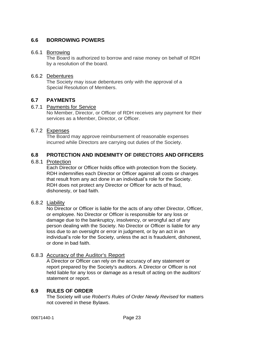## <span id="page-23-0"></span>**6.6 BORROWING POWERS**

#### <span id="page-23-1"></span>6.6.1 Borrowing

The Board is authorized to borrow and raise money on behalf of RDH by a resolution of the board.

## <span id="page-23-2"></span>6.6.2 Debentures

The Society may issue debentures only with the approval of a Special Resolution of Members.

## <span id="page-23-3"></span>**6.7 PAYMENTS**

#### <span id="page-23-4"></span>6.7.1 Payments for Service

No Member, Director, or Officer of RDH receives any payment for their services as a Member, Director, or Officer.

## <span id="page-23-5"></span>6.7.2 Expenses

The Board may approve reimbursement of reasonable expenses incurred while Directors are carrying out duties of the Society.

### <span id="page-23-6"></span>**6.8 PROTECTION AND INDEMNITY OF DIRECTORS AND OFFICERS**

#### <span id="page-23-7"></span>6.8.1 Protection

Each Director or Officer holds office with protection from the Society. RDH indemnifies each Director or Officer against all costs or charges that result from any act done in an individual's role for the Society. RDH does not protect any Director or Officer for acts of fraud, dishonesty, or bad faith.

#### <span id="page-23-8"></span>6.8.2 Liability

No Director or Officer is liable for the acts of any other Director, Officer, or employee. No Director or Officer is responsible for any loss or damage due to the bankruptcy, insolvency, or wrongful act of any person dealing with the Society. No Director or Officer is liable for any loss due to an oversight or error in judgment, or by an act in an individual's role for the Society, unless the act is fraudulent, dishonest, or done in bad faith.

### <span id="page-23-9"></span>6.8.3 Accuracy of the Auditor's Report

A Director or Officer can rely on the accuracy of any statement or report prepared by the Society's auditors. A Director or Officer is not held liable for any loss or damage as a result of acting on the auditors' statement or report.

### <span id="page-23-10"></span>**6.9 RULES OF ORDER**

The Society will use *Robert's Rules of Order Newly Revised* for matters not covered in these Bylaws.